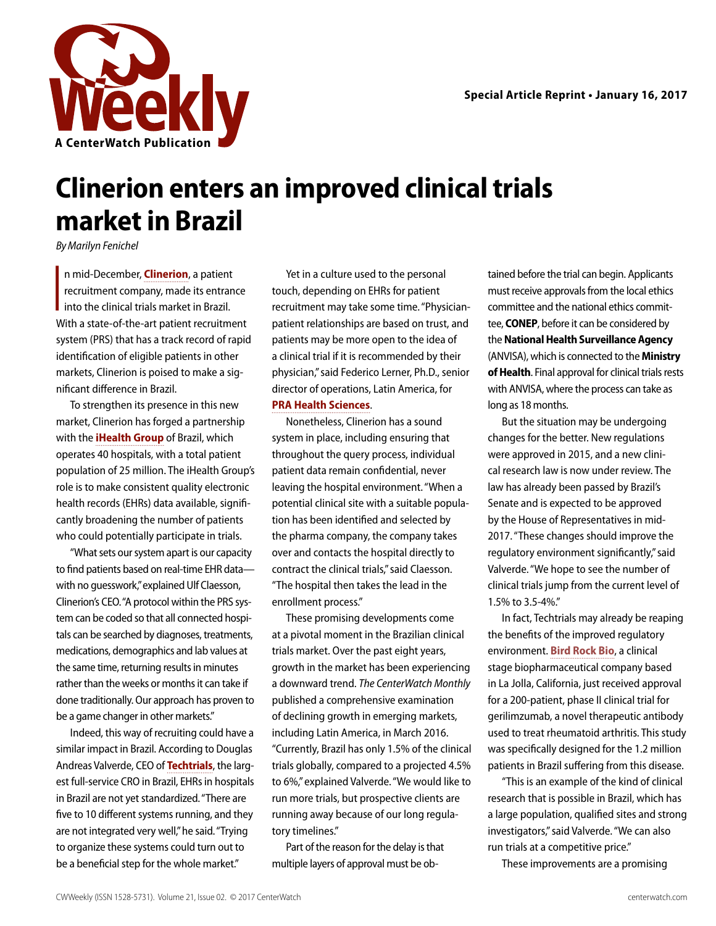

## **Clinerion enters an improved clinical trials market in Brazil**

*By Marilyn Fenichel*

 $\overline{\phantom{a}}$ n mid-December, **[Clinerion](http://www.centerwatch.com/news-online/tag/clinerion/)**, a patient recruitment company, made its entrance into the clinical trials market in Brazil. With a state-of-the-art patient recruitment system (PRS) that has a track record of rapid identification of eligible patients in other markets, Clinerion is poised to make a significant difference in Brazil.

To strengthen its presence in this new market, Clinerion has forged a partnership with the **[iHealth Group](http://www.centerwatch.com/news-online/tag/ihealth-group/)** of Brazil, which operates 40 hospitals, with a total patient population of 25 million. The iHealth Group's role is to make consistent quality electronic health records (EHRs) data available, significantly broadening the number of patients who could potentially participate in trials.

"What sets our system apart is our capacity to find patients based on real-time EHR data with no guesswork," explained Ulf Claesson, Clinerion's CEO. "A protocol within the PRS system can be coded so that all connected hospitals can be searched by diagnoses, treatments, medications, demographics and lab values at the same time, returning results in minutes rather than the weeks or months it can take if done traditionally. Our approach has proven to be a game changer in other markets."

Indeed, this way of recruiting could have a similar impact in Brazil. According to Douglas Andreas Valverde, CEO of **[Techtrials](http://www.centerwatch.com/news-online/tag/techtrials/)**, the largest full-service CRO in Brazil, EHRs in hospitals in Brazil are not yet standardized. "There are five to 10 different systems running, and they are not integrated very well," he said. "Trying to organize these systems could turn out to be a beneficial step for the whole market."

Yet in a culture used to the personal touch, depending on EHRs for patient recruitment may take some time. "Physicianpatient relationships are based on trust, and patients may be more open to the idea of a clinical trial if it is recommended by their physician," said Federico Lerner, Ph.D., senior director of operations, Latin America, for **[PRA Health Sciences](http://www.centerwatch.com/news-online/tag/pra-health-sciences/)**.

Nonetheless, Clinerion has a sound system in place, including ensuring that throughout the query process, individual patient data remain confidential, never leaving the hospital environment. "When a potential clinical site with a suitable population has been identified and selected by the pharma company, the company takes over and contacts the hospital directly to contract the clinical trials," said Claesson. "The hospital then takes the lead in the enrollment process."

These promising developments come at a pivotal moment in the Brazilian clinical trials market. Over the past eight years, growth in the market has been experiencing a downward trend. *The CenterWatch Monthly* published a comprehensive examination of declining growth in emerging markets, including Latin America, in March 2016. "Currently, Brazil has only 1.5% of the clinical trials globally, compared to a projected 4.5% to 6%," explained Valverde. "We would like to run more trials, but prospective clients are running away because of our long regulatory timelines."

Part of the reason for the delay is that multiple layers of approval must be obtained before the trial can begin. Applicants must receive approvals from the local ethics committee and the national ethics committee, **CONEP**, before it can be considered by the **National Health Surveillance Agency** (ANVISA), which is connected to the **Ministry of Health**. Final approval for clinical trials rests with ANVISA, where the process can take as long as 18 months.

But the situation may be undergoing changes for the better. New regulations were approved in 2015, and a new clinical research law is now under review. The law has already been passed by Brazil's Senate and is expected to be approved by the House of Representatives in mid-2017. "These changes should improve the regulatory environment significantly," said Valverde. "We hope to see the number of clinical trials jump from the current level of 1.5% to 3.5-4%."

In fact, Techtrials may already be reaping the benefits of the improved regulatory environment. **[Bird Rock Bio](http://www.birdrockbio.com/)**, a clinical stage biopharmaceutical company based in La Jolla, California, just received approval for a 200-patient, phase II clinical trial for gerilimzumab, a novel therapeutic antibody used to treat rheumatoid arthritis. This study was specifically designed for the 1.2 million patients in Brazil suffering from this disease.

"This is an example of the kind of clinical research that is possible in Brazil, which has a large population, qualified sites and strong investigators," said Valverde. "We can also run trials at a competitive price."

These improvements are a promising